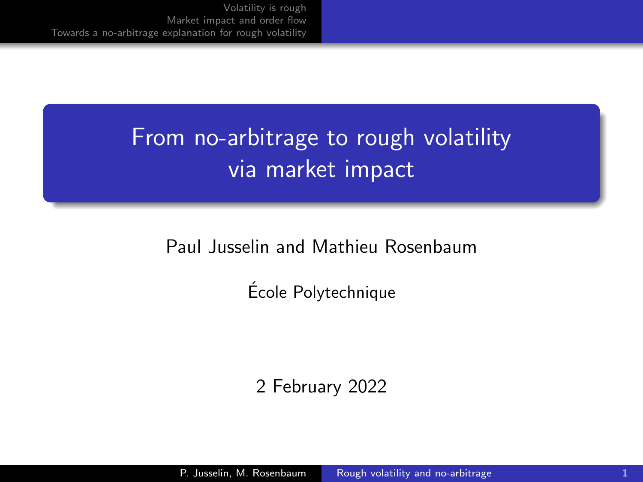# From no-arbitrage to rough volatility via market impact

### Paul Jusselin and Mathieu Rosenbaum

Ecole Polytechnique ´

2 February 2022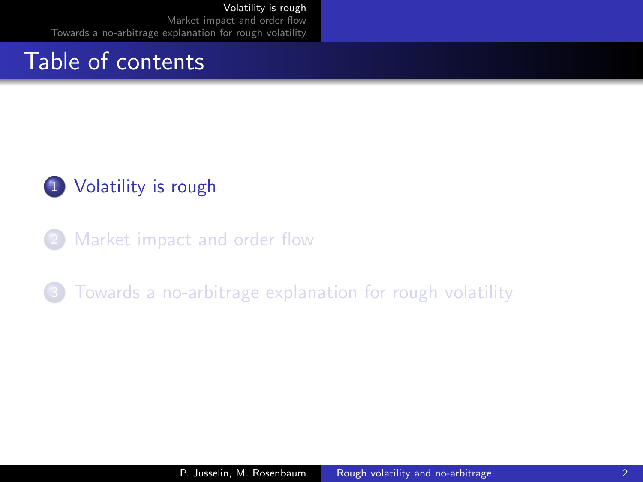### <span id="page-1-0"></span>Table of contents

### 1 [Volatility is rough](#page-1-0)

[Market impact and order flow](#page-12-0)

[Towards a no-arbitrage explanation for rough volatility](#page-21-0)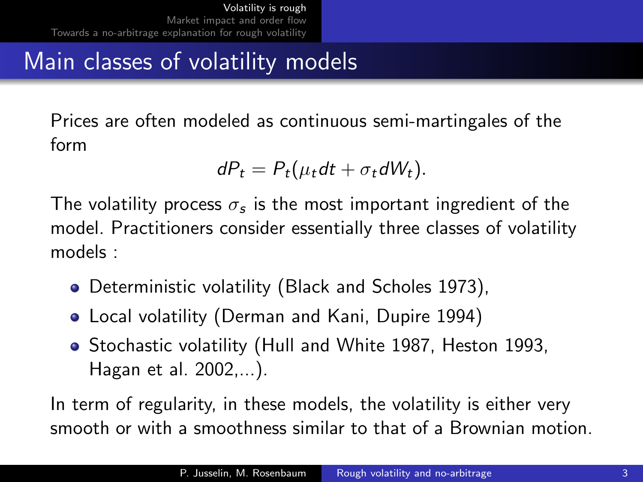# Main classes of volatility models

Prices are often modeled as continuous semi-martingales of the form

$$
dP_t = P_t(\mu_t dt + \sigma_t dW_t).
$$

The volatility process  $\sigma_{\bm{s}}$  is the most important ingredient of the model. Practitioners consider essentially three classes of volatility models :

- Deterministic volatility (Black and Scholes 1973),
- Local volatility (Derman and Kani, Dupire 1994)
- Stochastic volatility (Hull and White 1987, Heston 1993, Hagan et al. 2002,...).

In term of regularity, in these models, the volatility is either very smooth or with a smoothness similar to that of a Brownian motion.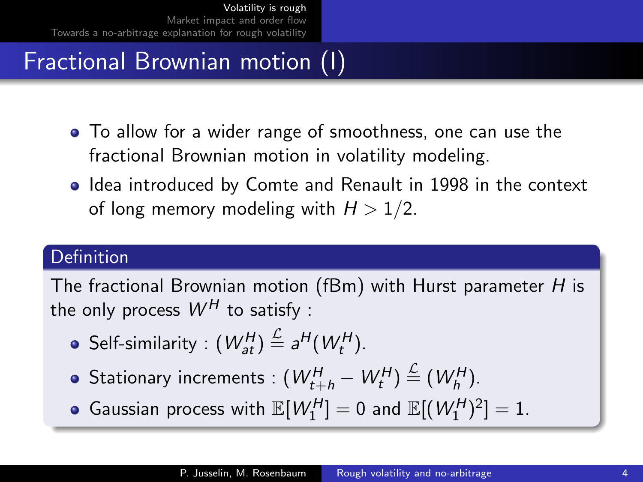# Fractional Brownian motion (I)

- To allow for a wider range of smoothness, one can use the fractional Brownian motion in volatility modeling.
- Idea introduced by Comte and Renault in 1998 in the context of long memory modeling with  $H > 1/2$ .

### Definition

The fractional Brownian motion (fBm) with Hurst parameter H is the only process  $W^H$  to satisfy :

- Self-similarity :  $(W_{at}^H) \stackrel{\mathcal{L}}{=} a^H(W_t^H)$ .
- Stationary increments :  $(W_{t+h}^H W_t^H) \stackrel{\mathcal{L}}{=} (W_h^H).$
- Gaussian process with  $\mathbb{E}[W_1^H]=0$  and  $\mathbb{E}[(W_1^H)^2]=1$ .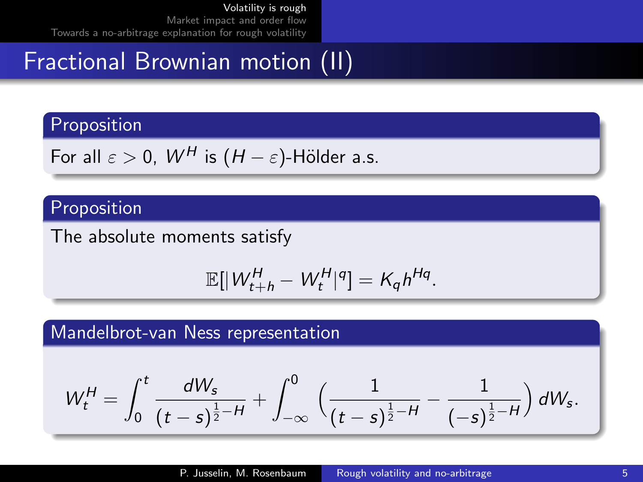## Fractional Brownian motion (II)

#### Proposition

For all 
$$
\varepsilon > 0
$$
,  $W^H$  is  $(H - \varepsilon)$ -Hölder a.s.

### Proposition

The absolute moments satisfy

$$
\mathbb{E}[|W_{t+h}^H - W_t^H|^q] = K_q h^{Hq}.
$$

#### Mandelbrot-van Ness representation

$$
W_t^H = \int_0^t \frac{dW_s}{(t-s)^{\frac{1}{2}-H}} + \int_{-\infty}^0 \Big(\frac{1}{(t-s)^{\frac{1}{2}-H}} - \frac{1}{(-s)^{\frac{1}{2}-H}}\Big) dW_s.
$$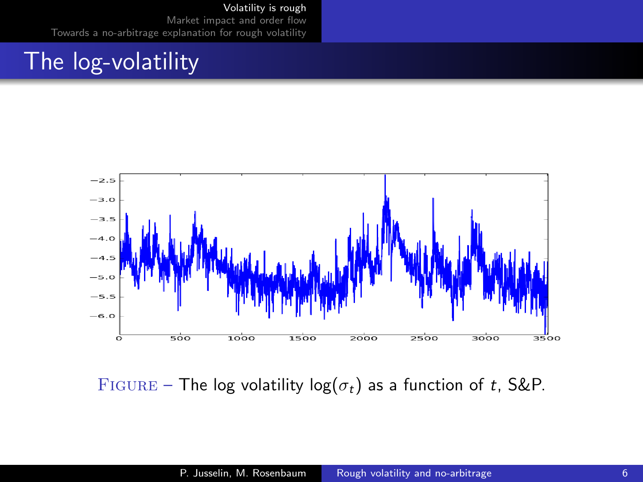### The log-volatility



FIGURE – The log volatility  $log(\sigma_t)$  as a function of t, S&P.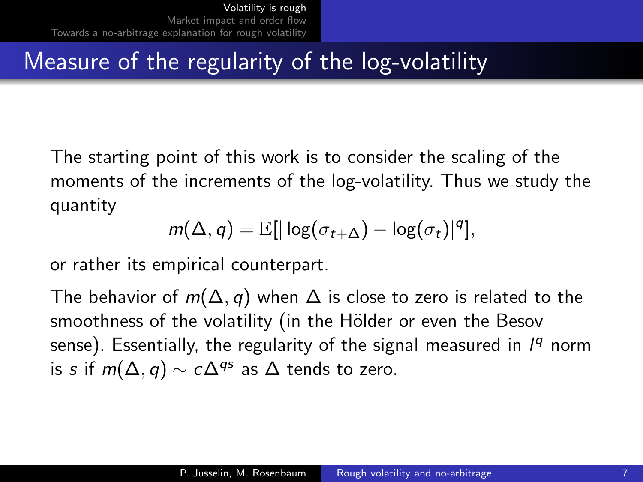### Measure of the regularity of the log-volatility

The starting point of this work is to consider the scaling of the moments of the increments of the log-volatility. Thus we study the quantity

$$
m(\Delta, q) = \mathbb{E}[|\log(\sigma_{t+\Delta}) - \log(\sigma_t)|^q],
$$

or rather its empirical counterpart.

The behavior of  $m(\Delta, q)$  when  $\Delta$  is close to zero is related to the smoothness of the volatility (in the Hölder or even the Besov sense). Essentially, the regularity of the signal measured in 1<sup>9</sup> norm is s if  $m(\Delta, q) \sim c\Delta^{qs}$  as  $\Delta$  tends to zero.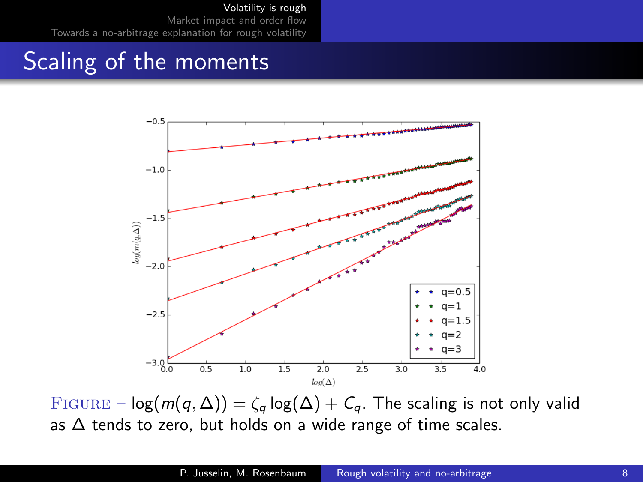### Scaling of the moments



FIGURE –  $log(m(q, \Delta)) = \zeta_q log(\Delta) + C_q$ . The scaling is not only valid as  $\Delta$  tends to zero, but holds on a wide range of time scales.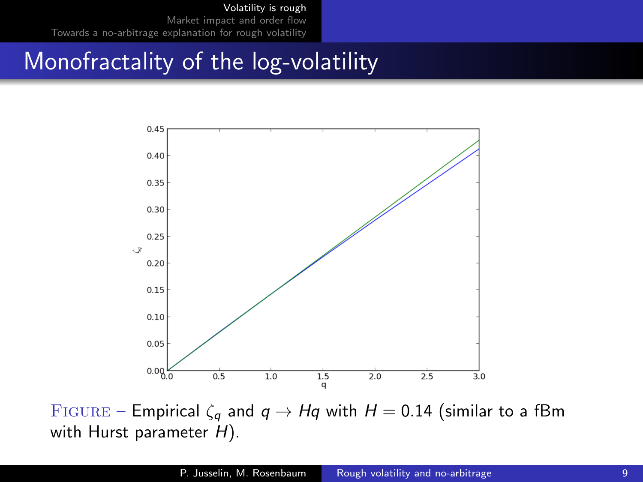# Monofractality of the log-volatility



FIGURE – Empirical  $\zeta_q$  and  $q \to Hq$  with  $H = 0.14$  (similar to a fBm with Hurst parameter  $H$ ).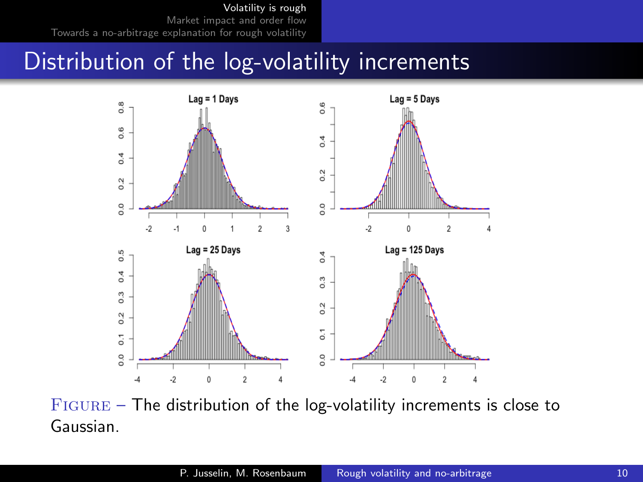### Distribution of the log-volatility increments



 $FIGURE - The distribution of the log-volatility increments is close to$ Gaussian.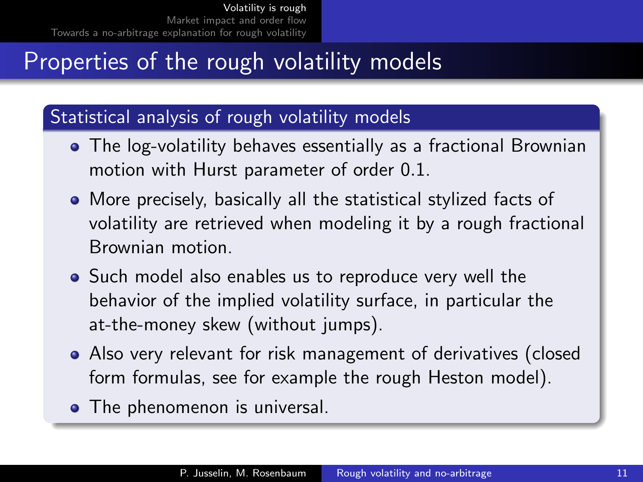# Properties of the rough volatility models

### Statistical analysis of rough volatility models

- The log-volatility behaves essentially as a fractional Brownian motion with Hurst parameter of order 0.1.
- More precisely, basically all the statistical stylized facts of volatility are retrieved when modeling it by a rough fractional Brownian motion.
- Such model also enables us to reproduce very well the behavior of the implied volatility surface, in particular the at-the-money skew (without jumps).
- Also very relevant for risk management of derivatives (closed form formulas, see for example the rough Heston model).
- The phenomenon is universal.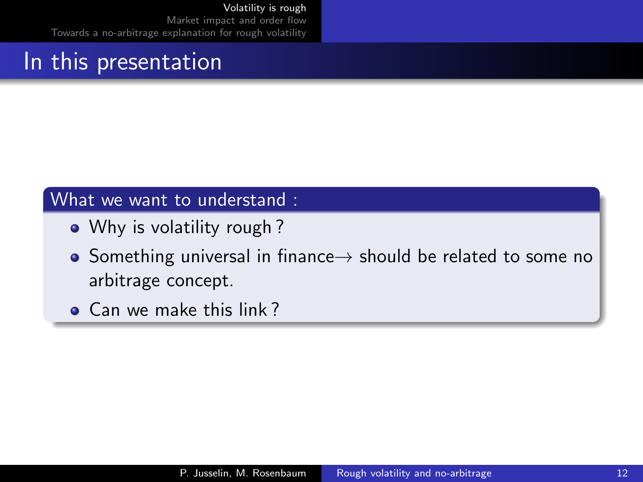## In this presentation

#### What we want to understand :

- Why is volatility rough?
- Something universal in finance $\rightarrow$  should be related to some no arbitrage concept.
- Can we make this link?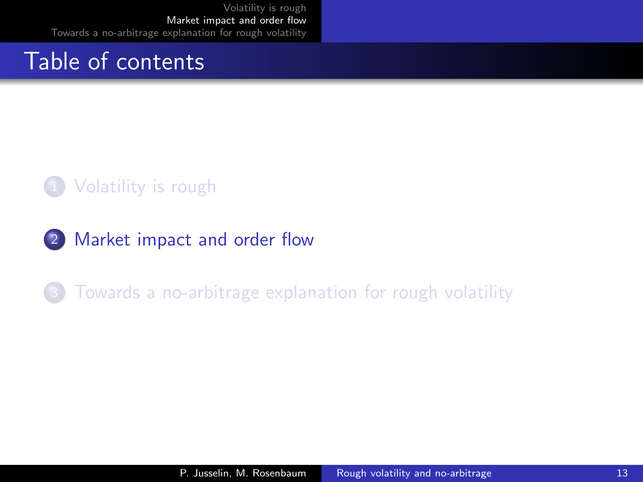### <span id="page-12-0"></span>Table of contents

### 1 [Volatility is rough](#page-1-0)

2 [Market impact and order flow](#page-12-0)

### [Towards a no-arbitrage explanation for rough volatility](#page-21-0)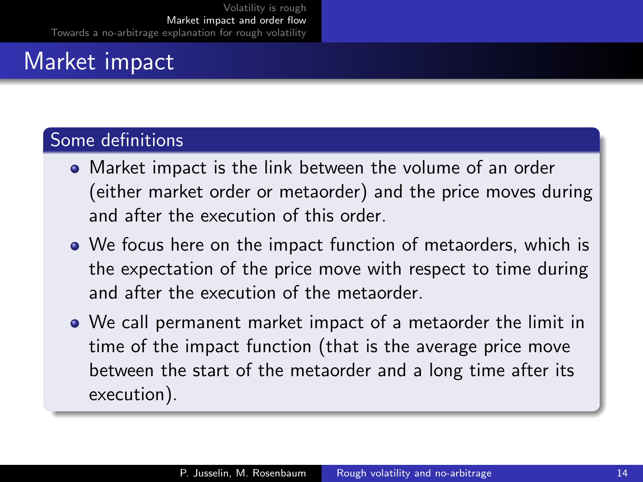### Some definitions

- Market impact is the link between the volume of an order (either market order or metaorder) and the price moves during and after the execution of this order.
- We focus here on the impact function of metaorders, which is the expectation of the price move with respect to time during and after the execution of the metaorder.
- We call permanent market impact of a metaorder the limit in time of the impact function (that is the average price move between the start of the metaorder and a long time after its execution).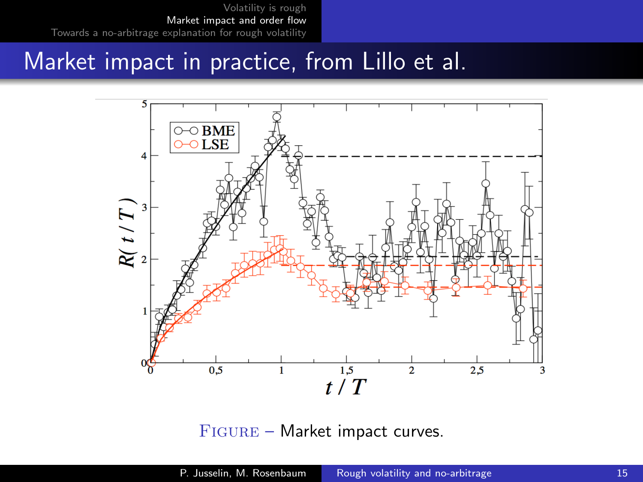### Market impact in practice, from Lillo et al.



FIGURE – Market impact curves.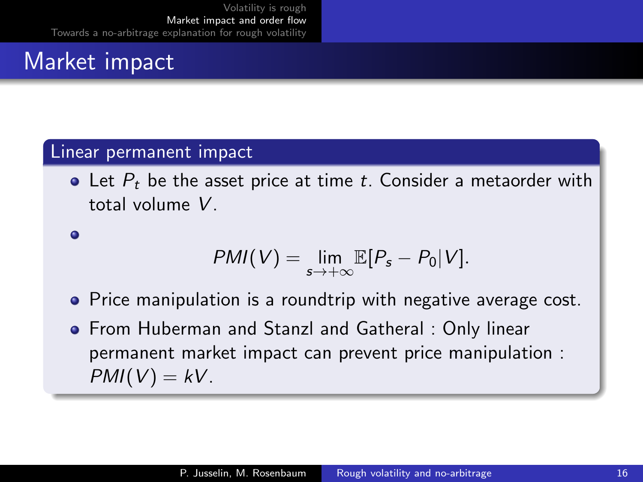#### Linear permanent impact

 $\bullet$  Let  $P_t$  be the asset price at time t. Consider a metaorder with total volume V.

 $\bullet$ 

$$
PMI(V)=\lim_{s\to+\infty}\mathbb{E}[P_s-P_0|V].
$$

- Price manipulation is a roundtrip with negative average cost.
- From Huberman and Stanzl and Gatheral : Only linear permanent market impact can prevent price manipulation :  $PMI(V) = kV$ .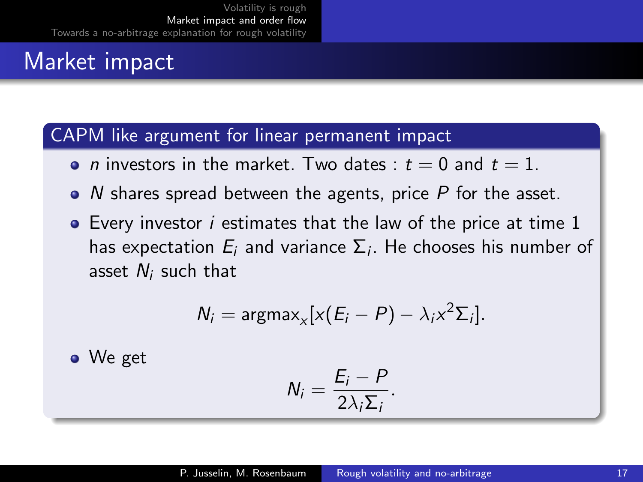### CAPM like argument for linear permanent impact

- *n* investors in the market. Two dates :  $t = 0$  and  $t = 1$ .
- $\bullet$  N shares spread between the agents, price P for the asset.
- **•** Every investor *i* estimates that the law of the price at time 1 has expectation  $E_i$  and variance  $\Sigma_i$ . He chooses his number of asset  $N_i$  such that

$$
N_i = \text{argmax}_x [x(E_i - P) - \lambda_i x^2 \Sigma_i].
$$

• We get

$$
N_i=\frac{E_i-P}{2\lambda_i\Sigma_i}.
$$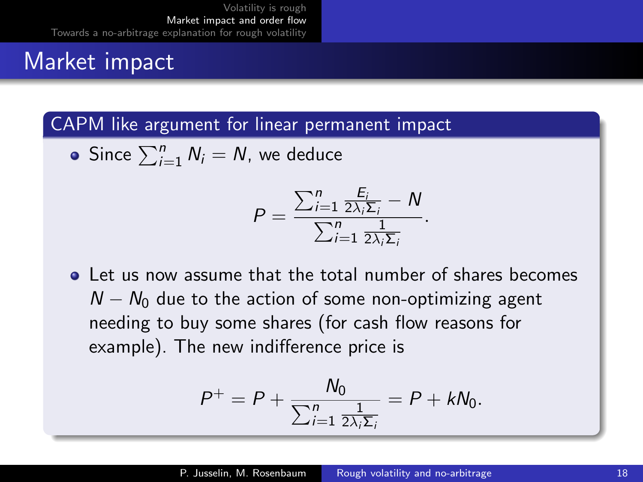CAPM like argument for linear permanent impact

Since  $\sum_{i=1}^{n} N_i = N$ , we deduce

$$
P = \frac{\sum_{i=1}^{n} \frac{E_i}{2\lambda_i \Sigma_i} - N}{\sum_{i=1}^{n} \frac{1}{2\lambda_i \Sigma_i}}.
$$

**Q** Let us now assume that the total number of shares becomes  $N - N_0$  due to the action of some non-optimizing agent needing to buy some shares (for cash flow reasons for example). The new indifference price is

$$
P^+=P+\frac{N_0}{\sum_{i=1}^n\frac{1}{2\lambda_i\Sigma_i}}=P+kN_0.
$$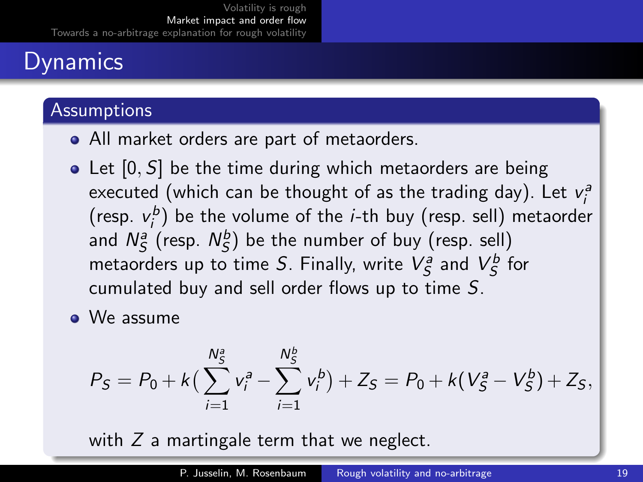# Dynamics

### **Assumptions**

- All market orders are part of metaorders.
- Let  $[0, S]$  be the time during which metaorders are being executed (which can be thought of as the trading day). Let  $v_i^a$ (resp.  $v_i^b$ ) be the volume of the *i*-th buy (resp. sell) metaorder and  $N_S^a$  (resp.  $N_S^b$ ) be the number of buy (resp. sell) metaorders up to time S. Finally, write  $V_S^a$  and  $V_S^b$  for cumulated buy and sell order flows up to time S.
- We assume

$$
P_S = P_0 + k\left(\sum_{i=1}^{N_S^2} v_i^a - \sum_{i=1}^{N_S^b} v_i^b\right) + Z_S = P_0 + k\left(V_S^a - V_S^b\right) + Z_S,
$$

with  $Z$  a martingale term that we neglect.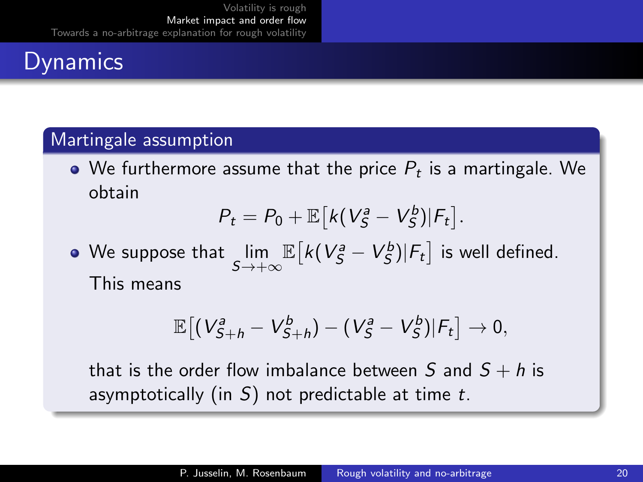# **Dynamics**

### Martingale assumption

We furthermore assume that the price  $P_t$  is a martingale. We obtain

$$
P_t = P_0 + \mathbb{E}\big[k(V_S^a - V_S^b)|F_t\big].
$$

We suppose that  $\displaystyle\lim_{S\to+\infty}$  $\mathbb{E} \big[ k(V^{\scriptscriptstyle{a}}_{\mathcal{S}} - V^{\scriptscriptstyle{b}}_{\mathcal{S}}) | \mathsf{F}_{t} \big]$  is well defined. This means

$$
\mathbb{E}\big[(V_{S+h}^a-V_{S+h}^b)-(V_S^a-V_S^b)|\mathcal{F}_t\big]\rightarrow 0,
$$

that is the order flow imbalance between S and  $S + h$  is asymptotically (in  $S$ ) not predictable at time t.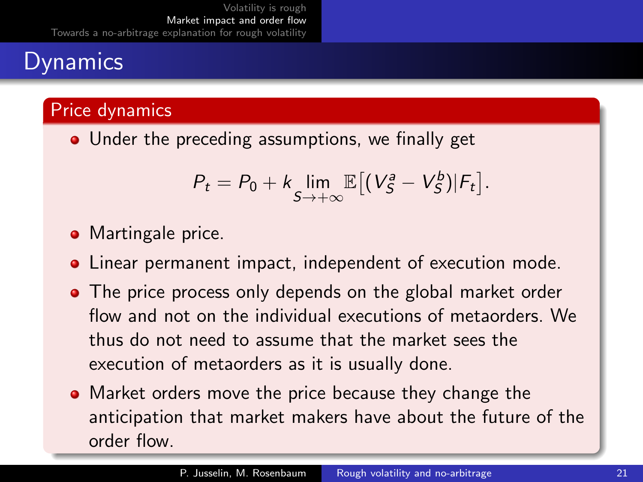# **Dynamics**

### Price dynamics

• Under the preceding assumptions, we finally get

$$
P_t = P_0 + k \lim_{S \to +\infty} \mathbb{E} \left[ \left( V_S^a - V_S^b \right) | F_t \right].
$$

- Martingale price.
- Linear permanent impact, independent of execution mode.
- The price process only depends on the global market order flow and not on the individual executions of metaorders. We thus do not need to assume that the market sees the execution of metaorders as it is usually done.
- Market orders move the price because they change the anticipation that market makers have about the future of the order flow.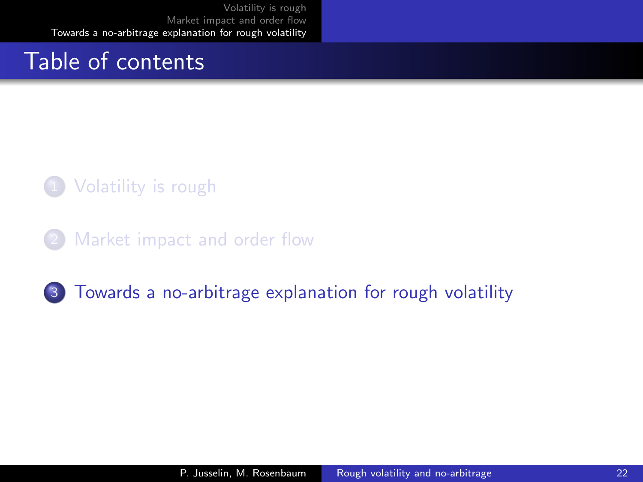### <span id="page-21-0"></span>Table of contents

### 1 [Volatility is rough](#page-1-0)

[Market impact and order flow](#page-12-0)

### 3 [Towards a no-arbitrage explanation for rough volatility](#page-21-0)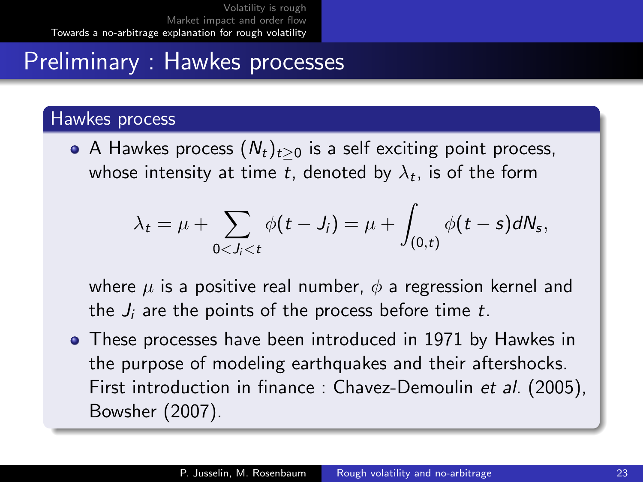## Preliminary : Hawkes processes

#### Hawkes process

A Hawkes process  $(N_t)_{t>0}$  is a self exciting point process, whose intensity at time  $t$ , denoted by  $\lambda_t$ , is of the form

$$
\lambda_t = \mu + \sum_{0 < J_i < t} \phi(t - J_i) = \mu + \int_{(0,t)} \phi(t - s) dN_s,
$$

where  $\mu$  is a positive real number,  $\phi$  a regression kernel and the  $J_i$  are the points of the process before time t.

These processes have been introduced in 1971 by Hawkes in the purpose of modeling earthquakes and their aftershocks. First introduction in finance : Chavez-Demoulin et al. (2005), Bowsher (2007).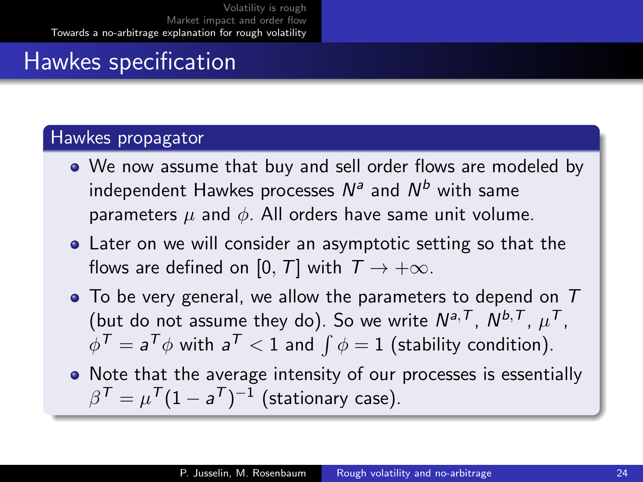# Hawkes specification

#### Hawkes propagator

- We now assume that buy and sell order flows are modeled by independent Hawkes processes  $N^a$  and  $N^b$  with same parameters  $\mu$  and  $\phi$ . All orders have same unit volume.
- Later on we will consider an asymptotic setting so that the flows are defined on [0, T] with  $T \rightarrow +\infty$ .
- $\bullet$  To be very general, we allow the parameters to depend on  $T$ (but do not assume they do). So we write  $N^{a,T}$ ,  $N^{b,T}$ ,  $\mu^T$ ,  $\phi^{\mathcal{T}}= \mathsf{a}^{\mathcal{T}}\phi$  with  $\mathsf{a}^{\mathcal{T}} < 1$  and  $\int \phi = 1$  (stability condition).
- Note that the average intensity of our processes is essentially  $\beta^{\mathcal{T}} = \mu^{\mathcal{T}} (1 - \mathsf{a}^{\mathcal{T}})^{-1}$  (stationary case).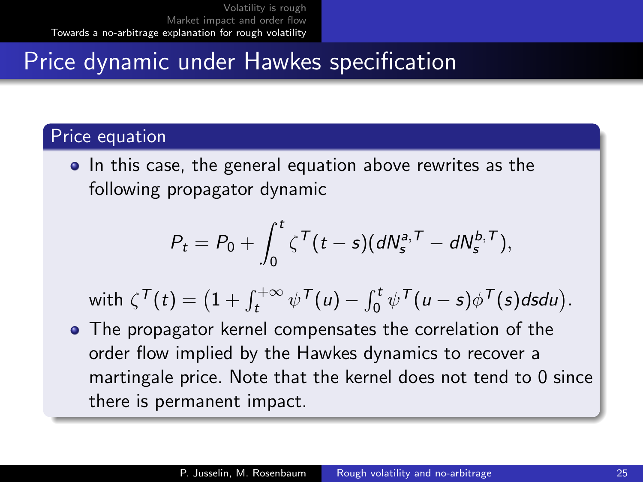## Price dynamic under Hawkes specification

### Price equation

• In this case, the general equation above rewrites as the following propagator dynamic

$$
P_t = P_0 + \int_0^t \zeta^{\mathcal{T}}(t-s) (dN_s^{a,\mathcal{T}} - dN_s^{b,\mathcal{T}}),
$$

with  $\zeta^{\mathcal{T}}(t) = \left(1 + \int_{t}^{+\infty} \psi^{\mathcal{T}}(u) - \int_{0}^{t} \psi^{\mathcal{T}}(u-s) \phi^{\mathcal{T}}(s) ds du\right).$ 

• The propagator kernel compensates the correlation of the order flow implied by the Hawkes dynamics to recover a martingale price. Note that the kernel does not tend to 0 since there is permanent impact.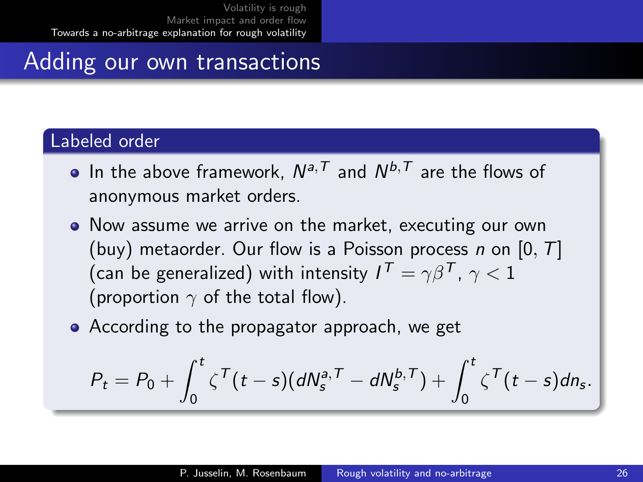### Adding our own transactions

#### Labeled order

- In the above framework,  $N^{a,T}$  and  $N^{b,T}$  are the flows of anonymous market orders.
- Now assume we arrive on the market, executing our own (buy) metaorder. Our flow is a Poisson process n on  $[0, T]$ (can be generalized) with intensity  $I^{\mathcal{T}}=\gamma\beta^{\mathcal{T}}$ ,  $\gamma < 1$ (proportion  $\gamma$  of the total flow).
- According to the propagator approach, we get

$$
P_t = P_0 + \int_0^t \zeta^{\mathcal{T}}(t-s)(dN_s^{a,\mathcal{T}} - dN_s^{b,\mathcal{T}}) + \int_0^t \zeta^{\mathcal{T}}(t-s)dn_s.
$$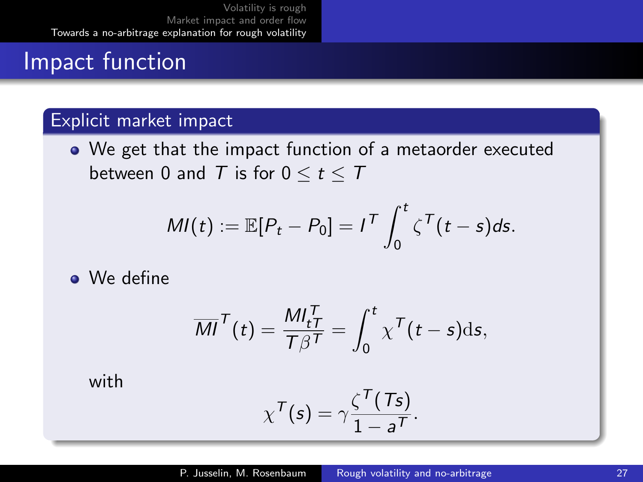# Impact function

### Explicit market impact

We get that the impact function of a metaorder executed between 0 and  $T$  is for  $0 \le t \le T$ 

$$
MI(t) := \mathbb{E}[P_t - P_0] = I^{\mathsf{T}} \int_0^t \zeta^{\mathsf{T}}(t-s) ds.
$$

• We define

$$
\overline{MI}^{\mathsf{T}}(t) = \frac{MI_{t\overline{I}}^{\mathsf{T}}}{T\beta^{\mathsf{T}}} = \int_0^t \chi^{\mathsf{T}}(t-s) \mathrm{d} s,
$$

with

$$
\chi^{\mathcal{T}}(s) = \gamma \frac{\zeta^{\mathcal{T}}(\mathcal{T}s)}{1 - a^{\mathcal{T}}}.
$$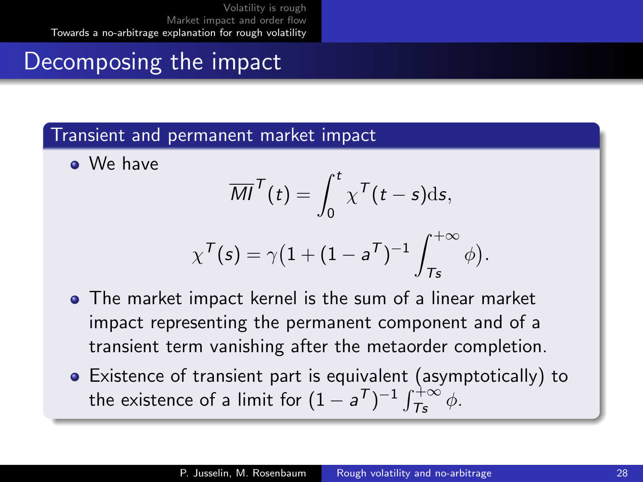### Decomposing the impact

#### Transient and permanent market impact

• We have

$$
\overline{MI}^T(t) = \int_0^t \chi^T(t-s) \mathrm{d} s,
$$

$$
\chi^{\mathcal{T}}(s) = \gamma \big(1 + (1 - s^{\mathcal{T}})^{-1}\int_{\mathcal{T}s}^{+\infty} \phi \big).
$$

- The market impact kernel is the sum of a linear market impact representing the permanent component and of a transient term vanishing after the metaorder completion.
- Existence of transient part is equivalent (asymptotically) to the existence of a limit for  $(1-a^{\mathcal{T}})^{-1}\int_{\mathcal{T}_{\mathcal{S}}}^{+\infty}\phi$ .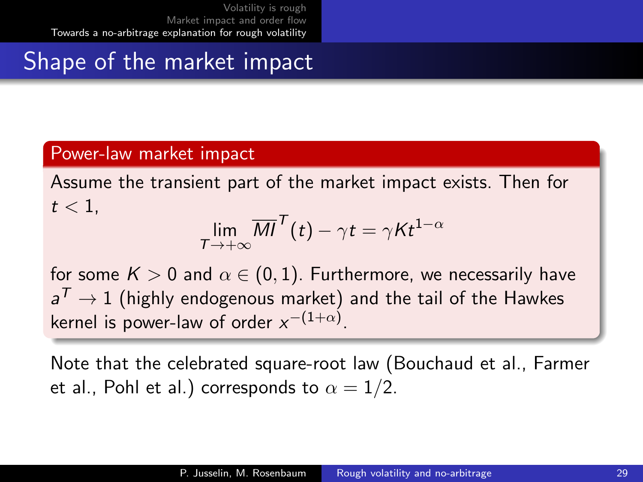# Shape of the market impact

#### Power-law market impact

Assume the transient part of the market impact exists. Then for  $t < 1$ .

$$
\lim_{T \to +\infty} \overline{MI}^T(t) - \gamma t = \gamma K t^{1-\alpha}
$$

for some  $K > 0$  and  $\alpha \in (0,1)$ . Furthermore, we necessarily have  $\textsf{a}^\mathcal{T} \to 1$  (highly endogenous market) and the tail of the Hawkes kernel is power-law of order  $x^{-(1+\alpha)}$ .

Note that the celebrated square-root law (Bouchaud et al., Farmer et al., Pohl et al.) corresponds to  $\alpha = 1/2$ .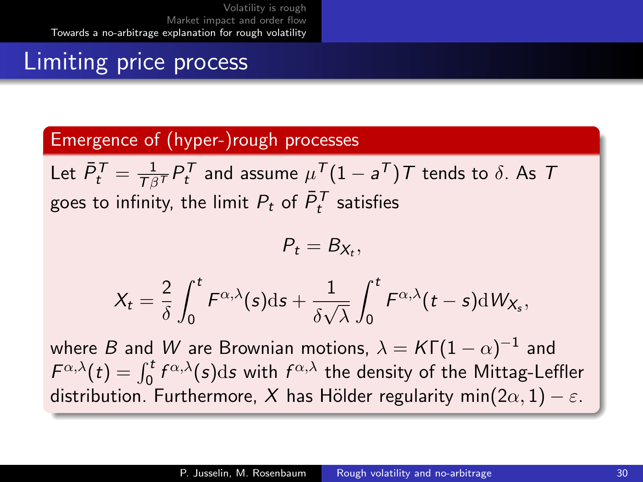# Limiting price process

### Emergence of (hyper-)rough processes

Let  $\bar{P}_t^{\, \mathcal{T}} = \frac{1}{\mathcal{T}\beta^{\mathcal{T}}}P_t^{\, \mathcal{T}}$  and assume  $\mu^{\, \mathcal{T}}(1-a^{\, \mathcal{T}})\, \mathcal{T}$  tends to  $\delta.$  As  $\, \mathcal{T}$ goes to infinity, the limit  $P_t$  of  $\bar{P}^\mathcal{T}_t$  satisfies

$$
P_t=B_{X_t},
$$

$$
X_t = \frac{2}{\delta} \int_0^t F^{\alpha,\lambda}(s) \mathrm{d} s + \frac{1}{\delta \sqrt{\lambda}} \int_0^t F^{\alpha,\lambda}(t-s) \mathrm{d} W_{X_s},
$$

where  $B$  and  $W$  are Brownian motions,  $\lambda = {\cal K} \Gamma(1-\alpha)^{-1}$  and  $F^{\alpha,\lambda}(t)=\int_0^t f^{\alpha,\lambda}(s)\mathrm{d}s$  with  $f^{\alpha,\lambda}$  the density of the Mittag-Leffler distribution. Furthermore, X has Hölder regularity min $(2\alpha, 1) - \varepsilon$ .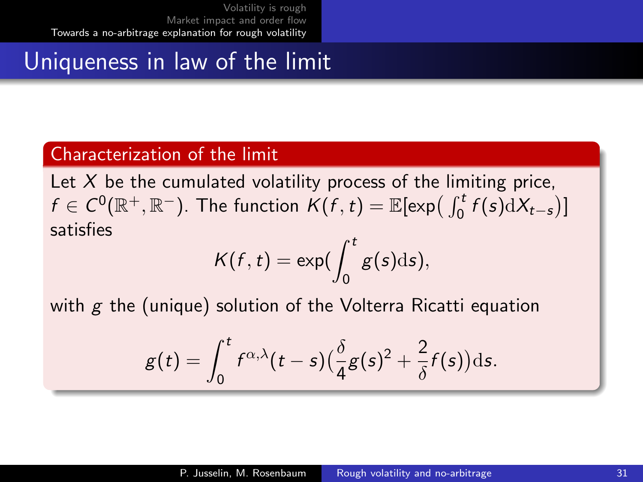# Uniqueness in law of the limit

#### Characterization of the limit

Let  $X$  be the cumulated volatility process of the limiting price,  $f \in C^0(\mathbb{R}^+, \mathbb{R}^-)$ . The function  $K(f, t) = \mathbb{E}[\exp(\int_0^t f(s) \mathrm{d}X_{t-s})]$ satisfies

$$
K(f,t)=\exp(\int_0^t g(s)\mathrm{d} s),
$$

with  $g$  the (unique) solution of the Volterra Ricatti equation

$$
g(t) = \int_0^t f^{\alpha,\lambda}(t-s) \left(\frac{\delta}{4}g(s)^2 + \frac{2}{\delta}f(s)\right) \mathrm{d}s.
$$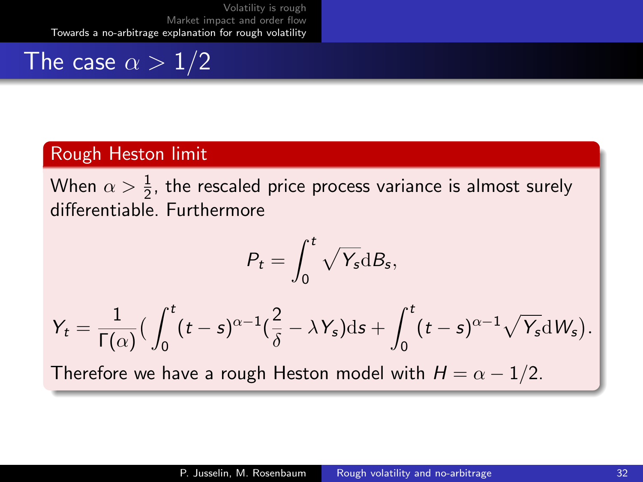### The case  $\alpha > 1/2$

#### Rough Heston limit

When  $\alpha>\frac{1}{2}$ , the rescaled price process variance is almost surely differentiable. Furthermore

$$
P_t = \int_0^t \sqrt{Y_s} \mathrm{d}B_s,
$$

$$
Y_t = \frac{1}{\Gamma(\alpha)} \left( \int_0^t (t-s)^{\alpha-1} \left( \frac{2}{\delta} - \lambda Y_s \right) ds + \int_0^t (t-s)^{\alpha-1} \sqrt{Y_s} dW_s \right).
$$
  
Therefore we have a rough Heston model with  $H = \alpha - 1/2$ .